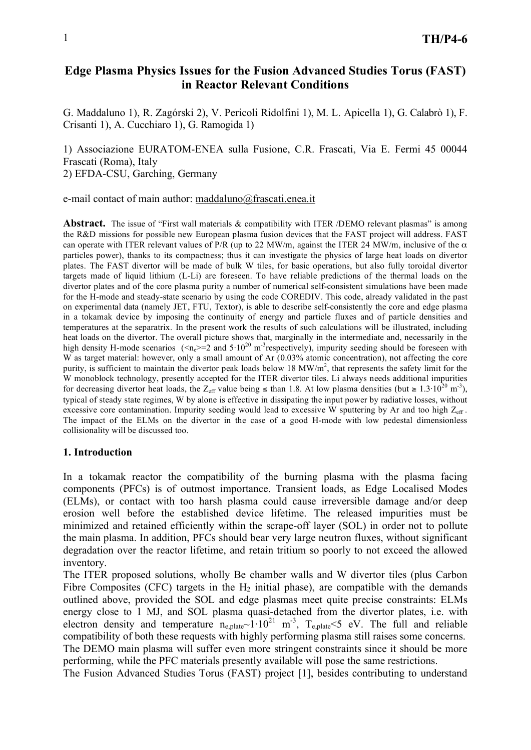# **Edge Plasma Physics Issues for the Fusion Advanced Studies Torus (FAST) in Reactor Relevant Conditions**

G. Maddaluno 1), R. Zagórski 2), V. Pericoli Ridolfini 1), M. L. Apicella 1), G. Calabrò 1), F. Crisanti 1), A. Cucchiaro 1), G. Ramogida 1)

1) Associazione EURATOM-ENEA sulla Fusione, C.R. Frascati, Via E. Fermi 45 00044 Frascati (Roma), Italy 2) EFDA-CSU, Garching, Germany

e-mail contact of main author: maddaluno@frascati.enea.it

**Abstract.** The issue of "First wall materials & compatibility with ITER /DEMO relevant plasmas" is among the R&D missions for possible new European plasma fusion devices that the FAST project will address. FAST can operate with ITER relevant values of P/R (up to 22 MW/m, against the ITER 24 MW/m, inclusive of the  $\alpha$ particles power), thanks to its compactness; thus it can investigate the physics of large heat loads on divertor plates. The FAST divertor will be made of bulk W tiles, for basic operations, but also fully toroidal divertor targets made of liquid lithium (L-Li) are foreseen. To have reliable predictions of the thermal loads on the divertor plates and of the core plasma purity a number of numerical self-consistent simulations have been made for the H-mode and steady-state scenario by using the code COREDIV. This code, already validated in the past on experimental data (namely JET, FTU, Textor), is able to describe self-consistently the core and edge plasma in a tokamak device by imposing the continuity of energy and particle fluxes and of particle densities and temperatures at the separatrix. In the present work the results of such calculations will be illustrated, including heat loads on the divertor. The overall picture shows that, marginally in the intermediate and, necessarily in the high density H-mode scenarios ( $\le n_e$ ) = 2 and  $5.10^{20}$  m<sup>-3</sup>respectively), impurity seeding should be foreseen with W as target material: however, only a small amount of Ar (0.03% atomic concentration), not affecting the core purity, is sufficient to maintain the divertor peak loads below 18  $MW/m<sup>2</sup>$ , that represents the safety limit for the W monoblock technology, presently accepted for the ITER divertor tiles. Li always needs additional impurities for decreasing divertor heat loads, the Z<sub>eff</sub> value being  $\leq$  than 1.8. At low plasma densities (but  $\geq 1.3 \cdot 10^{20}$  m<sup>-3</sup>), typical of steady state regimes, W by alone is effective in dissipating the input power by radiative losses, without excessive core contamination. Impurity seeding would lead to excessive W sputtering by Ar and too high  $Z_{\text{eff}}$ . The impact of the ELMs on the divertor in the case of a good H-mode with low pedestal dimensionless collisionality will be discussed too.

### **1. Introduction**

In a tokamak reactor the compatibility of the burning plasma with the plasma facing components (PFCs) is of outmost importance. Transient loads, as Edge Localised Modes (ELMs), or contact with too harsh plasma could cause irreversible damage and/or deep erosion well before the established device lifetime. The released impurities must be minimized and retained efficiently within the scrape-off layer (SOL) in order not to pollute the main plasma. In addition, PFCs should bear very large neutron fluxes, without significant degradation over the reactor lifetime, and retain tritium so poorly to not exceed the allowed inventory.

The ITER proposed solutions, wholly Be chamber walls and W divertor tiles (plus Carbon Fibre Composites (CFC) targets in the  $H_2$  initial phase), are compatible with the demands outlined above, provided the SOL and edge plasmas meet quite precise constraints: ELMs energy close to 1 MJ, and SOL plasma quasi-detached from the divertor plates, i.e. with electron density and temperature  $n_{e,plate}$  1·10<sup>21</sup> m<sup>-3</sup>,  $T_{e,plate}$  <5 eV. The full and reliable compatibility of both these requests with highly performing plasma still raises some concerns. The DEMO main plasma will suffer even more stringent constraints since it should be more performing, while the PFC materials presently available will pose the same restrictions.

The Fusion Advanced Studies Torus (FAST) project [1], besides contributing to understand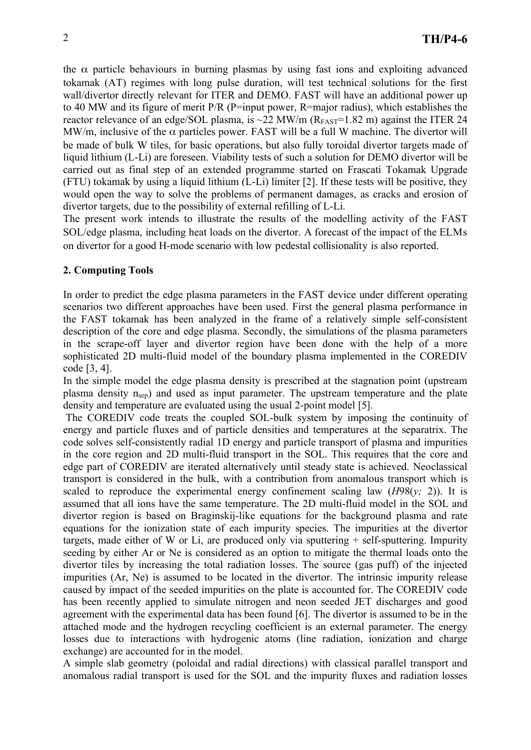the  $\alpha$  particle behaviours in burning plasmas by using fast ions and exploiting advanced tokamak (AT) regimes with long pulse duration, will test technical solutions for the first wall/divertor directly relevant for ITER and DEMO. FAST will have an additional power up to 40 MW and its figure of merit P/R (P=input power, R=major radius), which establishes the reactor relevance of an edge/SOL plasma, is  $\sim$ 22 MW/m ( $R_{FAST}=1.82$  m) against the ITER 24 MW/m, inclusive of the  $\alpha$  particles power. FAST will be a full W machine. The divertor will be made of bulk W tiles, for basic operations, but also fully toroidal divertor targets made of liquid lithium (L-Li) are foreseen. Viability tests of such a solution for DEMO divertor will be carried out as final step of an extended programme started on Frascati Tokamak Upgrade (FTU) tokamak by using a liquid lithium (L-Li) limiter [2]. If these tests will be positive, they would open the way to solve the problems of permanent damages, as cracks and erosion of divertor targets, due to the possibility of external refilling of L-Li.

The present work intends to illustrate the results of the modelling activity of the FAST SOL/edge plasma, including heat loads on the divertor. A forecast of the impact of the ELMs on divertor for a good H-mode scenario with low pedestal collisionality is also reported.

# **2. Computing Tools**

In order to predict the edge plasma parameters in the FAST device under different operating scenarios two different approaches have been used. First the general plasma performance in the FAST tokamak has been analyzed in the frame of a relatively simple self-consistent description of the core and edge plasma. Secondly, the simulations of the plasma parameters in the scrape-off layer and divertor region have been done with the help of a more sophisticated 2D multi-fluid model of the boundary plasma implemented in the COREDIV code [3, 4].

In the simple model the edge plasma density is prescribed at the stagnation point (upstream plasma density  $n<sub>sep</sub>$ ) and used as input parameter. The upstream temperature and the plate density and temperature are evaluated using the usual 2-point model [5].

 The COREDIV code treats the coupled SOL-bulk system by imposing the continuity of energy and particle fluxes and of particle densities and temperatures at the separatrix. The code solves self-consistently radial 1D energy and particle transport of plasma and impurities in the core region and 2D multi-fluid transport in the SOL. This requires that the core and edge part of COREDIV are iterated alternatively until steady state is achieved. Neoclassical transport is considered in the bulk, with a contribution from anomalous transport which is scaled to reproduce the experimental energy confinement scaling law  $(H98(y; 2))$ . It is assumed that all ions have the same temperature. The 2D multi-fluid model in the SOL and divertor region is based on Braginskij-like equations for the background plasma and rate equations for the ionization state of each impurity species. The impurities at the divertor targets, made either of W or Li, are produced only via sputtering  $+$  self-sputtering. Impurity seeding by either Ar or Ne is considered as an option to mitigate the thermal loads onto the divertor tiles by increasing the total radiation losses. The source (gas puff) of the injected impurities (Ar, Ne) is assumed to be located in the divertor. The intrinsic impurity release caused by impact of the seeded impurities on the plate is accounted for. The COREDIV code has been recently applied to simulate nitrogen and neon seeded JET discharges and good agreement with the experimental data has been found [6]. The divertor is assumed to be in the attached mode and the hydrogen recycling coefficient is an external parameter. The energy losses due to interactions with hydrogenic atoms (line radiation, ionization and charge exchange) are accounted for in the model.

A simple slab geometry (poloidal and radial directions) with classical parallel transport and anomalous radial transport is used for the SOL and the impurity fluxes and radiation losses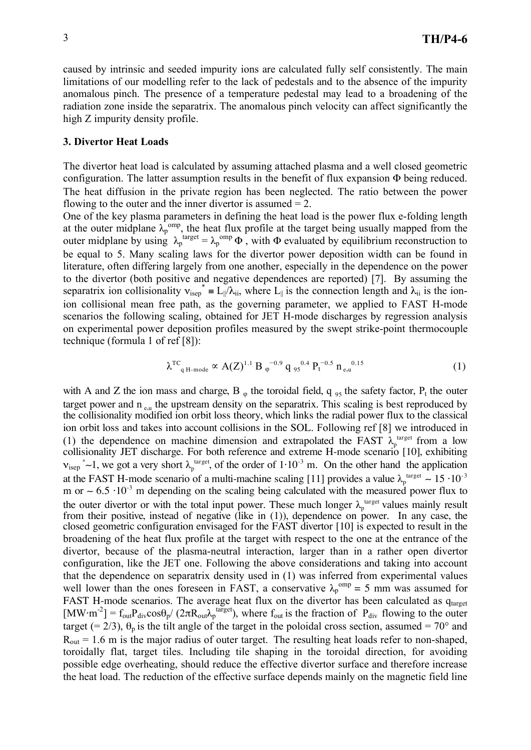caused by intrinsic and seeded impurity ions are calculated fully self consistently. The main limitations of our modelling refer to the lack of pedestals and to the absence of the impurity anomalous pinch. The presence of a temperature pedestal may lead to a broadening of the radiation zone inside the separatrix. The anomalous pinch velocity can affect significantly the high Z impurity density profile.

### **3. Divertor Heat Loads**

The divertor heat load is calculated by assuming attached plasma and a well closed geometric configuration. The latter assumption results in the benefit of flux expansion  $\Phi$  being reduced. The heat diffusion in the private region has been neglected. The ratio between the power flowing to the outer and the inner divertor is assumed  $= 2$ .

One of the key plasma parameters in defining the heat load is the power flux e-folding length at the outer midplane  $\lambda_p^{\text{omp}}$ , the heat flux profile at the target being usually mapped from the outer midplane by using  $\lambda_p^{\text{target}} = \lambda_p^{\text{omp}} \Phi$ , with  $\Phi$  evaluated by equilibrium reconstruction to be equal to 5. Many scaling laws for the divertor power deposition width can be found in literature, often differing largely from one another, especially in the dependence on the power to the divertor (both positive and negative dependences are reported) [7]. By assuming the separatrix ion collisionality  $v_{\text{isep}}^* = L \|\hat{\lambda}_{\text{ii}}\|$ , where  $L_{\parallel}$  is the connection length and  $\lambda_{\text{ii}}$  is the ionion collisional mean free path, as the governing parameter, we applied to FAST H-mode scenarios the following scaling, obtained for JET H-mode discharges by regression analysis on experimental power deposition profiles measured by the swept strike-point thermocouple technique (formula 1 of ref [8]):

$$
\lambda^{\text{TC}}_{q\text{ H-mode}} \propto A(Z)^{1.1} \text{ B}_{\varphi}^{\quad -0.9} q_{95}^{\quad 0.4} P_{t}^{\quad -0.5} n_{e,u}^{\quad 0.15} \tag{1}
$$

with A and Z the ion mass and charge, B  $_{\varphi}$  the toroidal field, q  $_{95}$  the safety factor, P<sub>t</sub> the outer target power and  $n_{e,\mu}$  the upstream density on the separatrix. This scaling is best reproduced by the collisionality modified ion orbit loss theory, which links the radial power flux to the classical ion orbit loss and takes into account collisions in the SOL. Following ref [8] we introduced in (1) the dependence on machine dimension and extrapolated the FAST  $\lambda_p^{\text{target}}$  from a low collisionality JET discharge. For both reference and extreme H-mode scenario [10], exhibiting  $v_{\text{isep}}^*$  ~1, we got a very short  $\lambda_p^{\text{target}}$ , of the order of  $1 \cdot 10^{-3}$  m. On the other hand the application at the FAST H-mode scenario of a multi-machine scaling [11] provides a value  $\lambda_p^{\text{target}} \sim 15 \cdot 10^{-3}$ m or  $\sim 6.5 \cdot 10^{-3}$  m depending on the scaling being calculated with the measured power flux to the outer divertor or with the total input power. These much longer  $\lambda_p^{\text{target}}$  values mainly result from their positive, instead of negative (like in (1)), dependence on power. In any case, the closed geometric configuration envisaged for the FAST divertor [10] is expected to result in the broadening of the heat flux profile at the target with respect to the one at the entrance of the divertor, because of the plasma-neutral interaction, larger than in a rather open divertor configuration, like the JET one. Following the above considerations and taking into account that the dependence on separatrix density used in (1) was inferred from experimental values well lower than the ones foreseen in FAST, a conservative  $\lambda_p^{\text{omp}} = 5$  mm was assumed for FAST H-mode scenarios. The average heat flux on the divertor has been calculated as qtarget  $[MW·m^{-2}] = f_{out}P_{div}cos\theta_p/(2\pi R_{out}\lambda_p^{target})$ , where  $f_{out}$  is the fraction of  $P_{div}$  flowing to the outer target (= 2/3),  $\theta_p$  is the tilt angle of the target in the poloidal cross section, assumed = 70° and  $R_{out} = 1.6$  m is the major radius of outer target. The resulting heat loads refer to non-shaped, toroidally flat, target tiles. Including tile shaping in the toroidal direction, for avoiding possible edge overheating, should reduce the effective divertor surface and therefore increase the heat load. The reduction of the effective surface depends mainly on the magnetic field line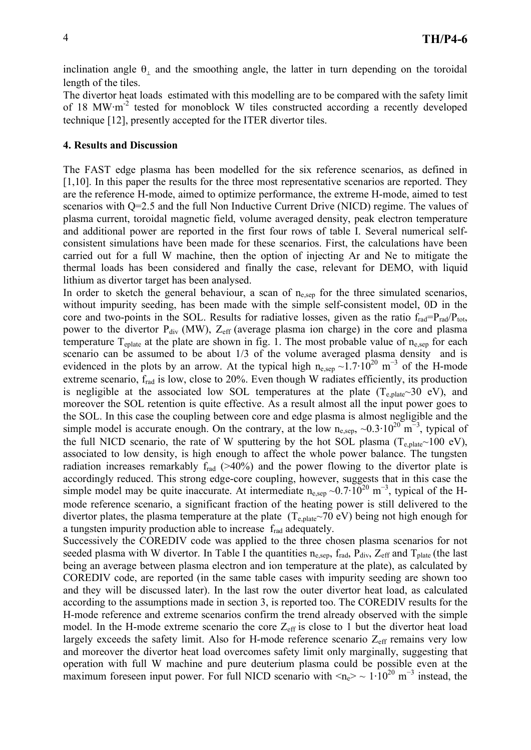inclination angle  $\theta_{\perp}$  and the smoothing angle, the latter in turn depending on the toroidal length of the tiles.

The divertor heat loads estimated with this modelling are to be compared with the safety limit of 18 MW·m<sup>-2</sup> tested for monoblock W tiles constructed according a recently developed technique [12], presently accepted for the ITER divertor tiles.

#### **4. Results and Discussion**

The FAST edge plasma has been modelled for the six reference scenarios, as defined in [1,10]. In this paper the results for the three most representative scenarios are reported. They are the reference H-mode, aimed to optimize performance, the extreme H-mode, aimed to test scenarios with Q=2.5 and the full Non Inductive Current Drive (NICD) regime. The values of plasma current, toroidal magnetic field, volume averaged density, peak electron temperature and additional power are reported in the first four rows of table I. Several numerical selfconsistent simulations have been made for these scenarios. First, the calculations have been carried out for a full W machine, then the option of injecting Ar and Ne to mitigate the thermal loads has been considered and finally the case, relevant for DEMO, with liquid lithium as divertor target has been analysed.

In order to sketch the general behaviour, a scan of  $n_{\text{e,sep}}$  for the three simulated scenarios, without impurity seeding, has been made with the simple self-consistent model, 0D in the core and two-points in the SOL. Results for radiative losses, given as the ratio  $f_{rad} = P_{rad}/P_{tot}$ , power to the divertor  $P_{div}$  (MW),  $Z_{eff}$  (average plasma ion charge) in the core and plasma temperature  $T_{\text{eplate}}$  at the plate are shown in fig. 1. The most probable value of  $n_{\text{e,sep}}$  for each scenario can be assumed to be about  $1/3$  of the volume averaged plasma density and is evidenced in the plots by an arrow. At the typical high  $n_{e,sep} \sim 1.7 \cdot 10^{20}$  m<sup>-3</sup> of the H-mode extreme scenario, frad is low, close to 20%. Even though W radiates efficiently, its production is negligible at the associated low SOL temperatures at the plate  $(T_{enlate} \sim 30 \text{ eV})$ , and moreover the SOL retention is quite effective. As a result almost all the input power goes to the SOL. In this case the coupling between core and edge plasma is almost negligible and the simple model is accurate enough. On the contrary, at the low  $n_{e,sep} \sim 0.3 \cdot 10^{20} \text{ m}^{-3}$ , typical of the full NICD scenario, the rate of W sputtering by the hot SOL plasma ( $T_{e,plate}$  100 eV), associated to low density, is high enough to affect the whole power balance. The tungsten radiation increases remarkably  $f_{rad}$  ( $>40\%$ ) and the power flowing to the divertor plate is accordingly reduced. This strong edge-core coupling, however, suggests that in this case the simple model may be quite inaccurate. At intermediate  $n_{e,sep} \sim 0.7 \cdot 10^{20}$  m<sup>-3</sup>, typical of the Hmode reference scenario, a significant fraction of the heating power is still delivered to the divertor plates, the plasma temperature at the plate  $(T_{e,plate} \sim 70 \text{ eV})$  being not high enough for a tungsten impurity production able to increase frad adequately.

Successively the COREDIV code was applied to the three chosen plasma scenarios for not seeded plasma with W divertor. In Table I the quantities  $n_{\text{e,sep}}$ ,  $f_{\text{rad}}$ ,  $P_{\text{div}}$ ,  $Z_{\text{eff}}$  and  $T_{\text{plate}}$  (the last being an average between plasma electron and ion temperature at the plate), as calculated by COREDIV code, are reported (in the same table cases with impurity seeding are shown too and they will be discussed later). In the last row the outer divertor heat load, as calculated according to the assumptions made in section 3, is reported too. The COREDIV results for the H-mode reference and extreme scenarios confirm the trend already observed with the simple model. In the H-mode extreme scenario the core  $Z_{\text{eff}}$  is close to 1 but the divertor heat load largely exceeds the safety limit. Also for H-mode reference scenario  $Z_{\text{eff}}$  remains very low and moreover the divertor heat load overcomes safety limit only marginally, suggesting that operation with full W machine and pure deuterium plasma could be possible even at the maximum foreseen input power. For full NICD scenario with  $\langle n_e \rangle \sim 1 \cdot 10^{20}$  m<sup>-3</sup> instead, the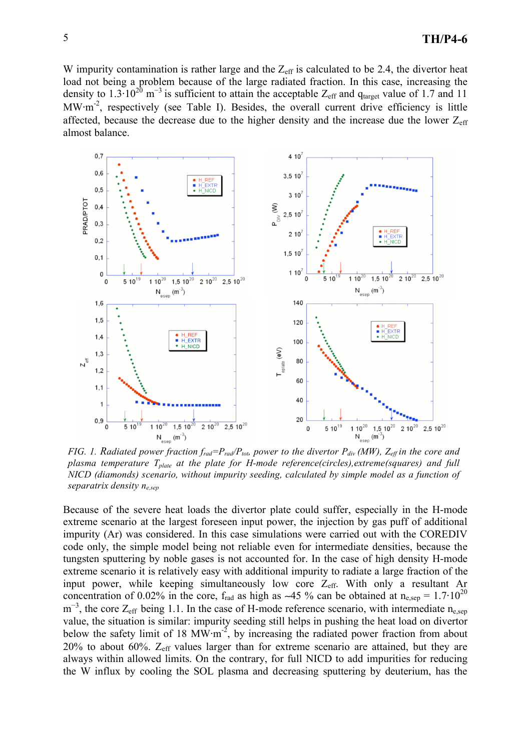W impurity contamination is rather large and the  $Z_{\text{eff}}$  is calculated to be 2.4, the divertor heat load not being a problem because of the large radiated fraction. In this case, increasing the density to 1.3.10<sup>20</sup> m<sup>-3</sup> is sufficient to attain the acceptable  $Z_{\text{eff}}$  and q<sub>target</sub> value of 1.7 and 11 MW·m<sup>-2</sup>, respectively (see Table I). Besides, the overall current drive efficiency is little affected, because the decrease due to the higher density and the increase due the lower  $Z_{\text{eff}}$ almost balance.



*FIG. 1. Radiated power fraction*  $f_{rad} = P_{rad}/P_{tot}$  *power to the divertor*  $P_{div}$  *(MW),*  $Z_{eff}$  *in the core and plasma temperature Tplate at the plate for H-mode reference(circles),extreme(squares) and full NICD (diamonds) scenario, without impurity seeding, calculated by simple model as a function of separatrix density ne,sep*

Because of the severe heat loads the divertor plate could suffer, especially in the H-mode extreme scenario at the largest foreseen input power, the injection by gas puff of additional impurity (Ar) was considered. In this case simulations were carried out with the COREDIV code only, the simple model being not reliable even for intermediate densities, because the tungsten sputtering by noble gases is not accounted for. In the case of high density H-mode extreme scenario it is relatively easy with additional impurity to radiate a large fraction of the input power, while keeping simultaneously low core  $Z_{\text{eff}}$ . With only a resultant Ar concentration of 0.02% in the core,  $f_{rad}$  as high as ~45 % can be obtained at  $n_{e,sep} = 1.7 \cdot 10^{20}$  $m^{-3}$ , the core  $Z_{eff}$  being 1.1. In the case of H-mode reference scenario, with intermediate n<sub>e,sep</sub> value, the situation is similar: impurity seeding still helps in pushing the heat load on divertor below the safety limit of 18  $\text{MW} \cdot \text{m}^{-2}$ , by increasing the radiated power fraction from about  $20\%$  to about 60%.  $Z_{\text{eff}}$  values larger than for extreme scenario are attained, but they are always within allowed limits. On the contrary, for full NICD to add impurities for reducing the W influx by cooling the SOL plasma and decreasing sputtering by deuterium, has the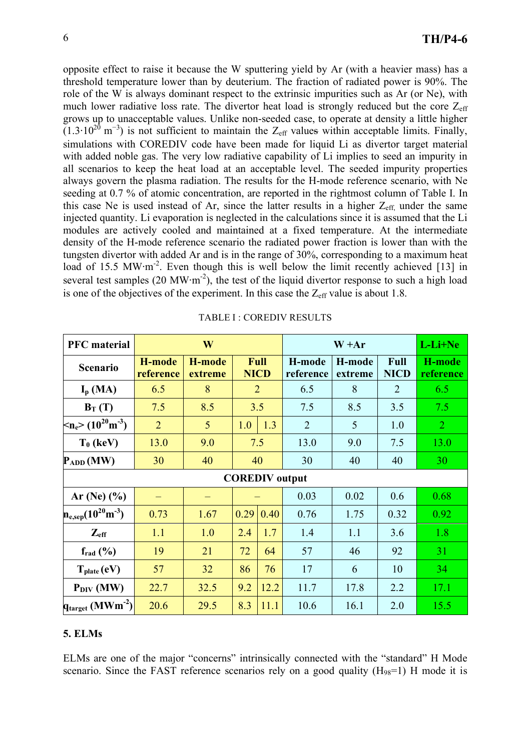opposite effect to raise it because the W sputtering yield by Ar (with a heavier mass) has a threshold temperature lower than by deuterium. The fraction of radiated power is 90%. The role of the W is always dominant respect to the extrinsic impurities such as Ar (or Ne), with much lower radiative loss rate. The divertor heat load is strongly reduced but the core  $Z_{\text{eff}}$ grows up to unacceptable values. Unlike non-seeded case, to operate at density a little higher  $(1.3 \cdot 10^{20} \text{ m}^{-3})$  is not sufficient to maintain the Z<sub>eff</sub> values within acceptable limits. Finally, simulations with COREDIV code have been made for liquid Li as divertor target material with added noble gas. The very low radiative capability of Li implies to seed an impurity in all scenarios to keep the heat load at an acceptable level. The seeded impurity properties always govern the plasma radiation. The results for the H-mode reference scenario, with Ne seeding at 0.7 % of atomic concentration, are reported in the rightmost column of Table I. In this case Ne is used instead of Ar, since the latter results in a higher  $Z_{\text{eff}}$  under the same injected quantity. Li evaporation is neglected in the calculations since it is assumed that the Li modules are actively cooled and maintained at a fixed temperature. At the intermediate density of the H-mode reference scenario the radiated power fraction is lower than with the tungsten divertor with added Ar and is in the range of 30%, corresponding to a maximum heat load of 15.5 MW·m<sup>-2</sup>. Even though this is well below the limit recently achieved [13] in several test samples (20 MW $\cdot$ m<sup>-2</sup>), the test of the liquid divertor response to such a high load is one of the objectives of the experiment. In this case the  $Z_{\text{eff}}$  value is about 1.8.

| <b>PFC</b> material                      | W                   |                   |      | $W + Ar$            |                       |                   | L-Li+Ne             |                     |
|------------------------------------------|---------------------|-------------------|------|---------------------|-----------------------|-------------------|---------------------|---------------------|
| <b>Scenario</b>                          | H-mode<br>reference | H-mode<br>extreme |      | Full<br><b>NICD</b> | H-mode<br>reference   | H-mode<br>extreme | Full<br><b>NICD</b> | H-mode<br>reference |
| $I_p$ (MA)                               | 6.5                 | 8                 |      | $\overline{2}$      | 6.5                   | 8                 | $\overline{2}$      | 6.5                 |
| $B_T(T)$                                 | 7.5                 | 8.5               |      | 3.5                 | 7.5                   | 8.5               | 3.5                 | 7.5                 |
| $\rm{m_{e} > (10^{20} m^{-3})}$          | $\overline{2}$      | 5                 | 1.0  | 1.3                 | $\overline{2}$        | 5                 | 1.0                 | $\overline{2}$      |
| $T_0$ (keV)                              | 13.0                | 9.0               |      | 7.5                 | 13.0                  | 9.0               | 7.5                 | 13.0                |
| $P_{ADD}$ (MW)                           | 30                  | 40                | 40   |                     | 30                    | 40                | 40                  | 30                  |
|                                          |                     |                   |      |                     | <b>COREDIV</b> output |                   |                     |                     |
| Ar (Ne) $(\% )$                          |                     |                   |      |                     | 0.03                  | 0.02              | 0.6                 | 0.68                |
| $n_{e,sep} (10^{20} \text{m}^{-3})$      | 0.73                | 1.67              | 0.29 | 0.40                | 0.76                  | 1.75              | 0.32                | 0.92                |
| $Z_{\text{eff}}$                         | 1.1                 | 1.0               | 2.4  | 1.7                 | 1.4                   | 1.1               | 3.6                 | 1.8                 |
| $f_{rad}$ $(\%)$                         | 19                  | 21                | 72   | 64                  | 57                    | 46                | 92                  | 31                  |
| $T_{plate} (eV)$                         | 57                  | 32                | 86   | 76                  | 17                    | 6                 | 10                  | 34                  |
| $P_{DIV}$ (MW)                           | 22.7                | 32.5              | 9.2  | 12.2                | 11.7                  | 17.8              | 2.2                 | 17.1                |
| $q_{\text{target}}$ (MWm <sup>-2</sup> ) | 20.6                | 29.5              | 8.3  | 11.1                | 10.6                  | 16.1              | 2.0                 | 15.5                |

|  | TABLE I : COREDIV RESULTS |  |
|--|---------------------------|--|
|--|---------------------------|--|

### **5. ELMs**

ELMs are one of the major "concerns" intrinsically connected with the "standard" H Mode scenario. Since the FAST reference scenarios rely on a good quality  $(H_{98}=1)$  H mode it is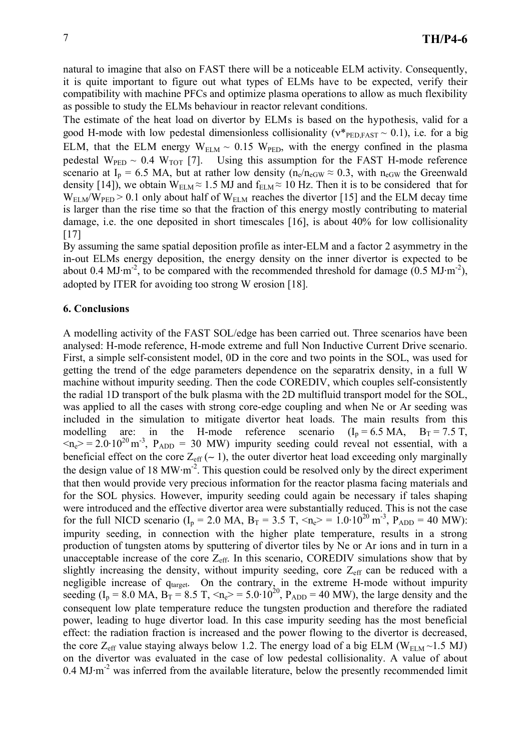natural to imagine that also on FAST there will be a noticeable ELM activity. Consequently, it is quite important to figure out what types of ELMs have to be expected, verify their compatibility with machine PFCs and optimize plasma operations to allow as much flexibility as possible to study the ELMs behaviour in reactor relevant conditions.

The estimate of the heat load on divertor by ELMs is based on the hypothesis, valid for a good H-mode with low pedestal dimensionless collisionality ( $v^*_{\text{PED,FAST}} \sim 0.1$ ), i.e. for a big ELM, that the ELM energy  $W_{ELM} \sim 0.15$  W<sub>PED</sub>, with the energy confined in the plasma pedestal  $W_{\text{PED}} \sim 0.4 W_{\text{TOT}}$  [7]. Using this assumption for the FAST H-mode reference scenario at I<sub>p</sub> = 6.5 MA, but at rather low density ( $n_e/n_{eGW} \approx 0.3$ , with  $n_{eGW}$  the Greenwald density [14]), we obtain  $W_{ELM} \approx 1.5 \text{ MJ}$  and  $f_{ELM} \approx 10 \text{ Hz}$ . Then it is to be considered that for  $W_{\text{ELM}}/W_{\text{PED}} > 0.1$  only about half of  $W_{\text{ELM}}$  reaches the divertor [15] and the ELM decay time is larger than the rise time so that the fraction of this energy mostly contributing to material damage, i.e. the one deposited in short timescales [16], is about 40% for low collisionality [17]

By assuming the same spatial deposition profile as inter-ELM and a factor 2 asymmetry in the in-out ELMs energy deposition, the energy density on the inner divertor is expected to be about 0.4 MJ·m<sup>-2</sup>, to be compared with the recommended threshold for damage  $(0.5 \text{ MJ} \cdot \text{m}^{-2})$ , adopted by ITER for avoiding too strong W erosion [18].

## **6. Conclusions**

A modelling activity of the FAST SOL/edge has been carried out. Three scenarios have been analysed: H-mode reference, H-mode extreme and full Non Inductive Current Drive scenario. First, a simple self-consistent model, 0D in the core and two points in the SOL, was used for getting the trend of the edge parameters dependence on the separatrix density, in a full W machine without impurity seeding. Then the code COREDIV, which couples self-consistently the radial 1D transport of the bulk plasma with the 2D multifluid transport model for the SOL, was applied to all the cases with strong core-edge coupling and when Ne or Ar seeding was included in the simulation to mitigate divertor heat loads. The main results from this modelling are: in the H-mode reference scenario  $(I_p = 6.5 \text{ MA}, B_T = 7.5 \text{ T},$  $m_e$  = 2.0.10<sup>20</sup> m<sup>-3</sup>, P<sub>ADD</sub> = 30 MW) impurity seeding could reveal not essential, with a beneficial effect on the core  $Z_{\text{eff}}$  ( $\sim$  1), the outer divertor heat load exceeding only marginally the design value of 18 MW $\cdot$ m<sup>-2</sup>. This question could be resolved only by the direct experiment that then would provide very precious information for the reactor plasma facing materials and for the SOL physics. However, impurity seeding could again be necessary if tales shaping were introduced and the effective divertor area were substantially reduced. This is not the case for the full NICD scenario ( $I_p = 2.0$  MA,  $B_T = 3.5$  T,  $\langle n_e \rangle = 1.0 \cdot 10^{20}$  m<sup>-3</sup>,  $P_{ADD} = 40$  MW): impurity seeding, in connection with the higher plate temperature, results in a strong production of tungsten atoms by sputtering of divertor tiles by Ne or Ar ions and in turn in a unacceptable increase of the core  $Z_{\text{eff}}$ . In this scenario, COREDIV simulations show that by slightly increasing the density, without impurity seeding, core  $Z_{\text{eff}}$  can be reduced with a negligible increase of qtarget. On the contrary, in the extreme H-mode without impurity seeding ( $I_p = 8.0$  MA,  $B_T = 8.5$  T,  $\langle n_e \rangle = 5.0 \cdot 10^{20}$ ,  $P_{ADD} = 40$  MW), the large density and the consequent low plate temperature reduce the tungsten production and therefore the radiated power, leading to huge divertor load. In this case impurity seeding has the most beneficial effect: the radiation fraction is increased and the power flowing to the divertor is decreased, the core  $Z_{\text{eff}}$  value staying always below 1.2. The energy load of a big ELM (W<sub>ELM</sub> ~1.5 MJ) on the divertor was evaluated in the case of low pedestal collisionality. A value of about  $0.4$  MJ $\cdot$ m<sup>-2</sup> was inferred from the available literature, below the presently recommended limit